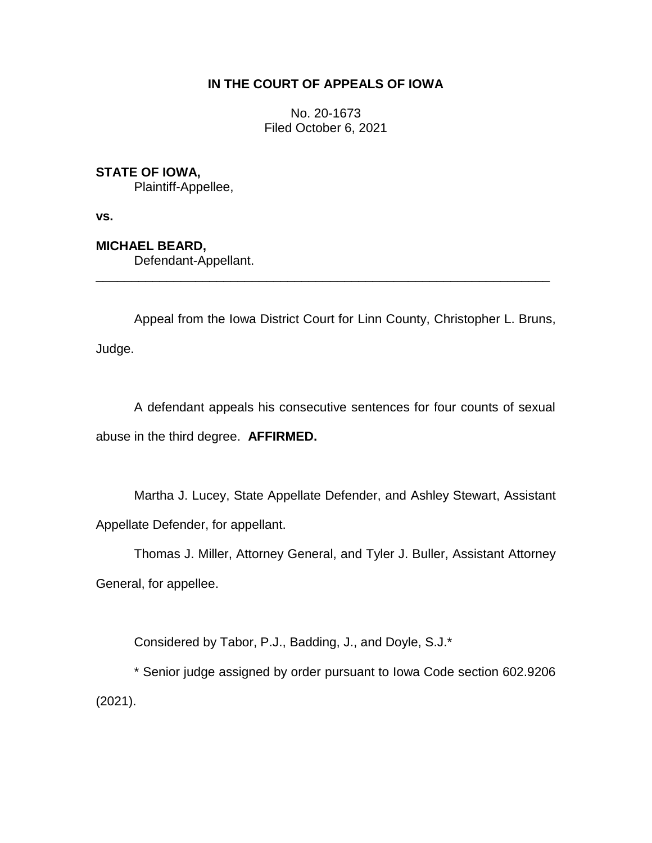# **IN THE COURT OF APPEALS OF IOWA**

No. 20-1673 Filed October 6, 2021

## **STATE OF IOWA,**

Plaintiff-Appellee,

**vs.**

## **MICHAEL BEARD,**

Defendant-Appellant.

Appeal from the Iowa District Court for Linn County, Christopher L. Bruns, Judge.

\_\_\_\_\_\_\_\_\_\_\_\_\_\_\_\_\_\_\_\_\_\_\_\_\_\_\_\_\_\_\_\_\_\_\_\_\_\_\_\_\_\_\_\_\_\_\_\_\_\_\_\_\_\_\_\_\_\_\_\_\_\_\_\_

A defendant appeals his consecutive sentences for four counts of sexual abuse in the third degree. **AFFIRMED.**

Martha J. Lucey, State Appellate Defender, and Ashley Stewart, Assistant Appellate Defender, for appellant.

Thomas J. Miller, Attorney General, and Tyler J. Buller, Assistant Attorney General, for appellee.

Considered by Tabor, P.J., Badding, J., and Doyle, S.J.\*

\* Senior judge assigned by order pursuant to Iowa Code section 602.9206 (2021).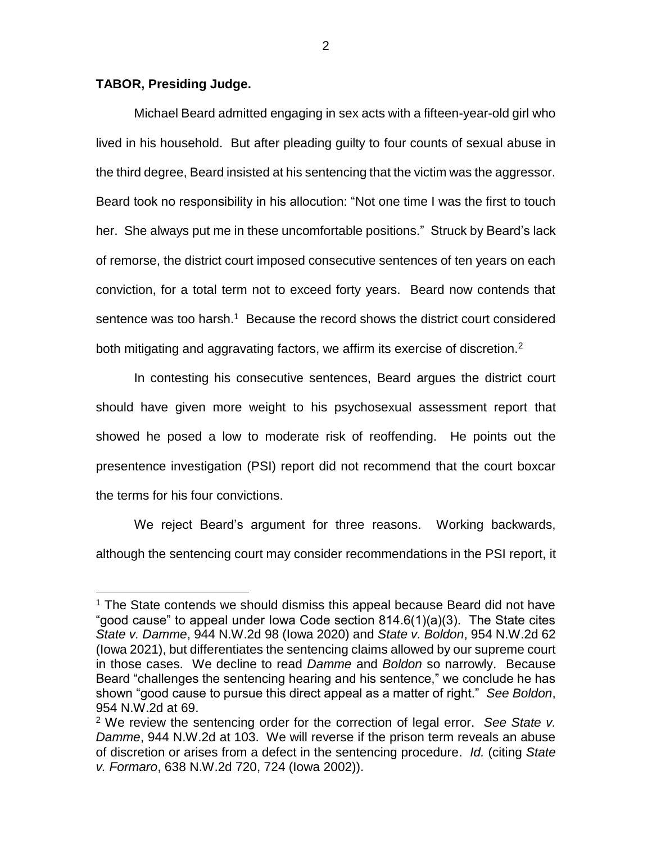#### **TABOR, Presiding Judge.**

 $\overline{a}$ 

Michael Beard admitted engaging in sex acts with a fifteen-year-old girl who lived in his household. But after pleading guilty to four counts of sexual abuse in the third degree, Beard insisted at his sentencing that the victim was the aggressor. Beard took no responsibility in his allocution: "Not one time I was the first to touch her. She always put me in these uncomfortable positions." Struck by Beard's lack of remorse, the district court imposed consecutive sentences of ten years on each conviction, for a total term not to exceed forty years. Beard now contends that sentence was too harsh.<sup>1</sup> Because the record shows the district court considered both mitigating and aggravating factors, we affirm its exercise of discretion.<sup>2</sup>

In contesting his consecutive sentences, Beard argues the district court should have given more weight to his psychosexual assessment report that showed he posed a low to moderate risk of reoffending. He points out the presentence investigation (PSI) report did not recommend that the court boxcar the terms for his four convictions.

We reject Beard's argument for three reasons. Working backwards, although the sentencing court may consider recommendations in the PSI report, it

 $1$  The State contends we should dismiss this appeal because Beard did not have "good cause" to appeal under Iowa Code section 814.6(1)(a)(3). The State cites *State v. Damme*, 944 N.W.2d 98 (Iowa 2020) and *State v. Boldon*, 954 N.W.2d 62 (Iowa 2021), but differentiates the sentencing claims allowed by our supreme court in those cases. We decline to read *Damme* and *Boldon* so narrowly. Because Beard "challenges the sentencing hearing and his sentence," we conclude he has shown "good cause to pursue this direct appeal as a matter of right." *See Boldon*, 954 N.W.2d at 69.

<sup>2</sup> We review the sentencing order for the correction of legal error. *See State v. Damme*, 944 N.W.2d at 103. We will reverse if the prison term reveals an abuse of discretion or arises from a defect in the sentencing procedure. *Id.* (citing *State v. Formaro*, 638 N.W.2d 720, 724 (Iowa 2002)).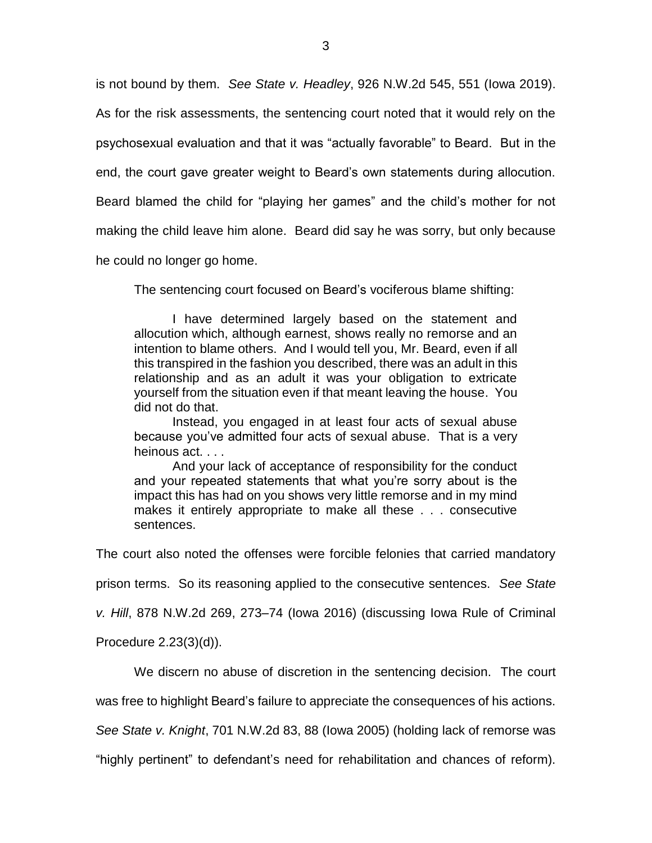is not bound by them. *See State v. Headley*, 926 N.W.2d 545, 551 (Iowa 2019). As for the risk assessments, the sentencing court noted that it would rely on the

psychosexual evaluation and that it was "actually favorable" to Beard. But in the

end, the court gave greater weight to Beard's own statements during allocution.

Beard blamed the child for "playing her games" and the child's mother for not

making the child leave him alone. Beard did say he was sorry, but only because

he could no longer go home.

The sentencing court focused on Beard's vociferous blame shifting:

I have determined largely based on the statement and allocution which, although earnest, shows really no remorse and an intention to blame others. And I would tell you, Mr. Beard, even if all this transpired in the fashion you described, there was an adult in this relationship and as an adult it was your obligation to extricate yourself from the situation even if that meant leaving the house. You did not do that.

Instead, you engaged in at least four acts of sexual abuse because you've admitted four acts of sexual abuse. That is a very heinous act. . . .

And your lack of acceptance of responsibility for the conduct and your repeated statements that what you're sorry about is the impact this has had on you shows very little remorse and in my mind makes it entirely appropriate to make all these . . . consecutive sentences.

The court also noted the offenses were forcible felonies that carried mandatory

prison terms. So its reasoning applied to the consecutive sentences. *See State*

*v. Hill*, 878 N.W.2d 269, 273–74 (Iowa 2016) (discussing Iowa Rule of Criminal

Procedure 2.23(3)(d)).

We discern no abuse of discretion in the sentencing decision. The court

was free to highlight Beard's failure to appreciate the consequences of his actions.

*See State v. Knight*, 701 N.W.2d 83, 88 (Iowa 2005) (holding lack of remorse was

"highly pertinent" to defendant's need for rehabilitation and chances of reform).